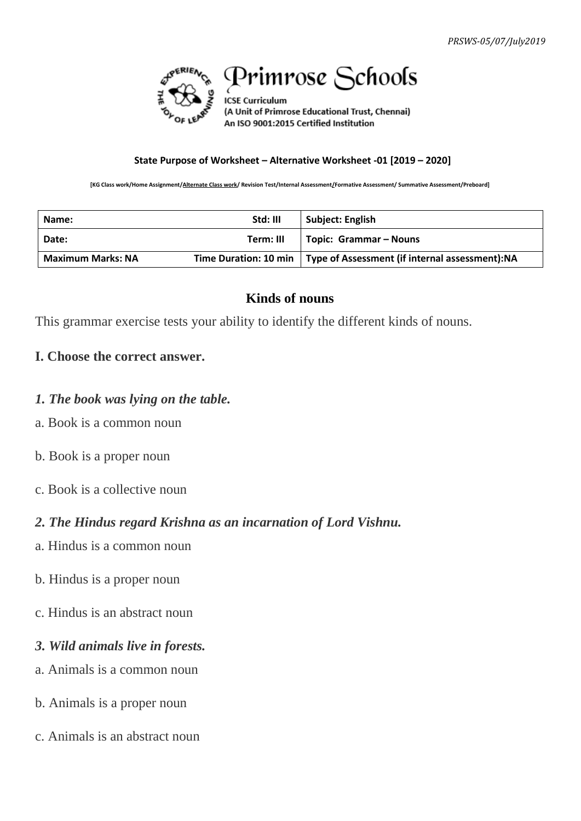

# Primrose Schools

**ICSE Curriculum** (A Unit of Primrose Educational Trust, Chennai) An ISO 9001:2015 Certified Institution

#### **State Purpose of Worksheet – Alternative Worksheet -01 [2019 – 2020]**

**[KG Class work/Home Assignment/Alternate Class work/ Revision Test/Internal Assessment/Formative Assessment/ Summative Assessment/Preboard]**

| Name:                    | Std: III  | <b>Subject: English</b>                                                 |
|--------------------------|-----------|-------------------------------------------------------------------------|
| Date:                    | Term: III | Topic: Grammar – Nouns                                                  |
| <b>Maximum Marks: NA</b> |           | Time Duration: 10 min   Type of Assessment (if internal assessment): NA |

### **Kinds of nouns**

This grammar exercise tests your ability to identify the different kinds of nouns.

## **I. Choose the correct answer.**

- *1. The book was lying on the table.*
- a. Book is a common noun
- b. Book is a proper noun
- c. Book is a collective noun

## *2. The Hindus regard Krishna as an incarnation of Lord Vishnu.*

- a. Hindus is a common noun
- b. Hindus is a proper noun
- c. Hindus is an abstract noun
- *3. Wild animals live in forests.*
- a. Animals is a common noun
- b. Animals is a proper noun
- c. Animals is an abstract noun